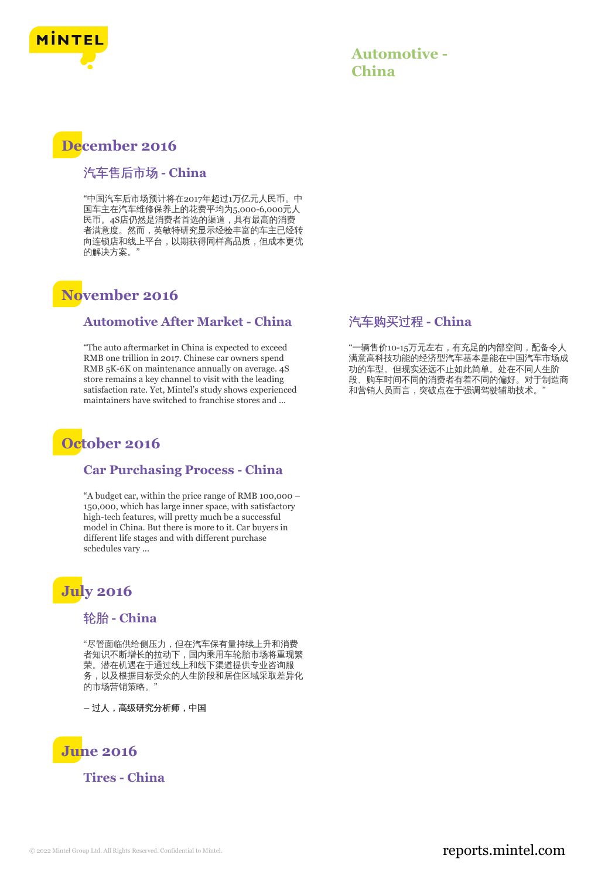

| <b>Automotive -</b> |  |
|---------------------|--|
| China               |  |

## **December 2016**

## 汽车售后市场 **- China**

"中国汽车后市场预计将在2017年超过1万亿元人民币。中 国车主在汽车维修保养上的花费平均为5,000-6,000元人 民币。4S店仍然是消费者首选的渠道,具有最高的消费 者满意度。然而,英敏特研究显示经验丰富的车主已经转 向连锁店和线上平台,以期获得同样高品质,但成本更优 的解决方案。"

## **November 2016**

#### **Automotive After Market - China**

"The auto aftermarket in China is expected to exceed RMB one trillion in 2017. Chinese car owners spend RMB 5K-6K on maintenance annually on average. 4S store remains a key channel to visit with the leading satisfaction rate. Yet, Mintel's study shows experienced maintainers have switched to franchise stores and ...

# **October 2016**

#### **Car Purchasing Process - China**

"A budget car, within the price range of RMB 100,000 – 150,000, which has large inner space, with satisfactory high-tech features, will pretty much be a successful model in China. But there is more to it. Car buyers in different life stages and with different purchase schedules vary ...

# **July 2016**

#### 轮胎 **- China**

"尽管面临供给侧压力,但在汽车保有量持续上升和消费 者知识不断增长的拉动下,国内乘用车轮胎市场将重现繁 荣。潜在机遇在于通过线上和线下渠道提供专业咨询服 务,以及根据目标受众的人生阶段和居住区域采取差异化 的市场营销策略。"

**–** 过人,高级研究分析师,中国



**Tires - China**

### 汽车购买过程 **- China**

"一辆售价10-15万元左右,有充足的内部空间,配备令人 满意高科技功能的经济型汽车基本是能在中国汽车市场成 功的车型。但现实还远不止如此简单。处在不同人生阶 段、购车时间不同的消费者有着不同的偏好。对于制造商 和营销人员而言,突破点在于强调驾驶辅助技术。"